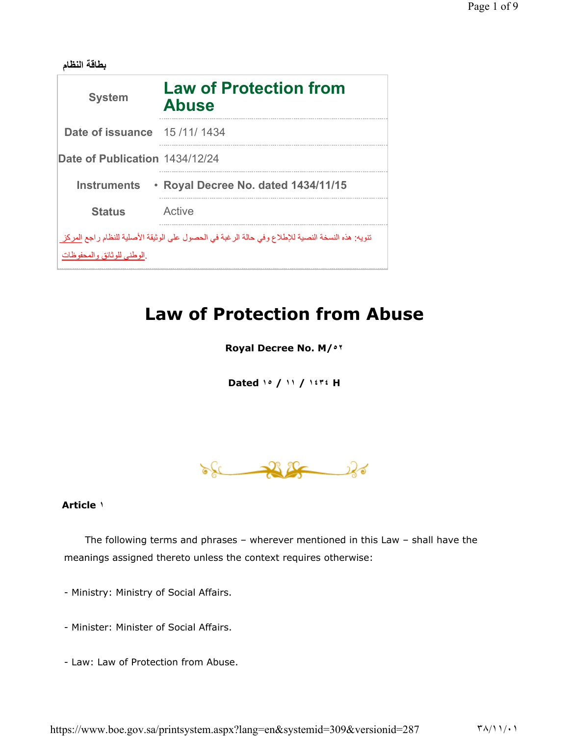| بطاقه النظام                                                                                                                                          |                                               |
|-------------------------------------------------------------------------------------------------------------------------------------------------------|-----------------------------------------------|
| <b>System</b>                                                                                                                                         | <b>Law of Protection from</b><br><b>Abuse</b> |
| Date of issuance                                                                                                                                      | 15 /11/ 1434                                  |
| Date of Publication 1434/12/24                                                                                                                        |                                               |
| <b>Instruments</b>                                                                                                                                    | · Royal Decree No. dated 1434/11/15           |
| <b>Status</b>                                                                                                                                         | Active                                        |
| تنويه: هذه النسخة النصية للإطلاع وفي حالة الرغبة في الحصول على الوثيقة الأصلية للنظام راجع المركز<br>ِ الْوِ طَنِّي لَلَّو ثَانَقٍ و الْمَحْفُو ظَاتِ |                                               |

# Law of Protection from Abuse

Royal Decree No. M/٥٢

Dated ١٥ / ١١ / ١٤٣٤ H



## Article ١

The following terms and phrases – wherever mentioned in this Law – shall have the meanings assigned thereto unless the context requires otherwise:

- Ministry: Ministry of Social Affairs.
- Minister: Minister of Social Affairs.
- Law: Law of Protection from Abuse.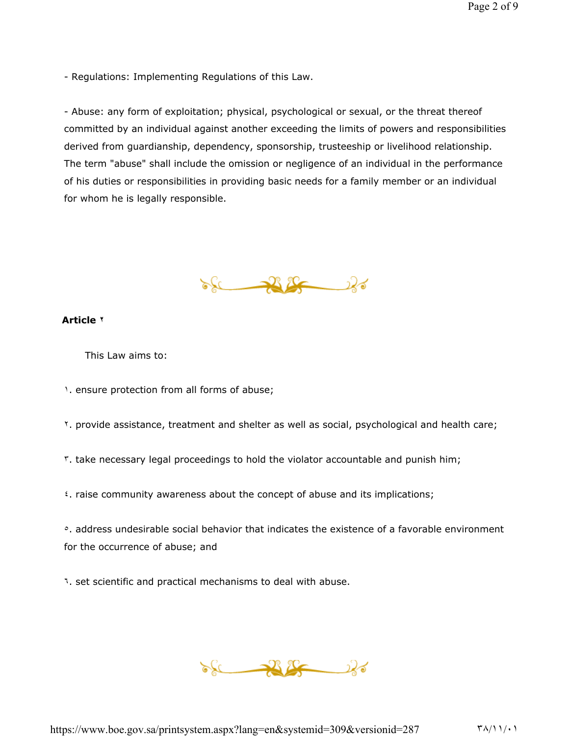- Regulations: Implementing Regulations of this Law.

- Abuse: any form of exploitation; physical, psychological or sexual, or the threat thereof committed by an individual against another exceeding the limits of powers and responsibilities derived from guardianship, dependency, sponsorship, trusteeship or livelihood relationship. The term "abuse" shall include the omission or negligence of an individual in the performance of his duties or responsibilities in providing basic needs for a family member or an individual for whom he is legally responsible.



## Article ٢

This Law aims to:

١. ensure protection from all forms of abuse;

- ٢. provide assistance, treatment and shelter as well as social, psychological and health care;
- ٣. take necessary legal proceedings to hold the violator accountable and punish him;
- ٤. raise community awareness about the concept of abuse and its implications;

<sup>o</sup>. address undesirable social behavior that indicates the existence of a favorable environment for the occurrence of abuse; and

٦. set scientific and practical mechanisms to deal with abuse.

 $86 - 26$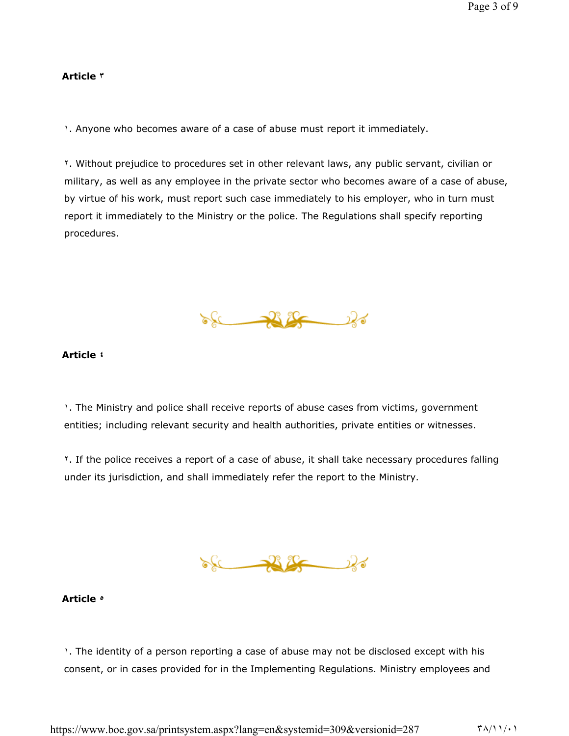#### Article ٣

1. Anyone who becomes aware of a case of abuse must report it immediately.

٢. Without prejudice to procedures set in other relevant laws, any public servant, civilian or military, as well as any employee in the private sector who becomes aware of a case of abuse, by virtue of his work, must report such case immediately to his employer, who in turn must report it immediately to the Ministry or the police. The Regulations shall specify reporting procedures.

 $\sqrt{2}$ 

## Article ٤

1. The Ministry and police shall receive reports of abuse cases from victims, government entities; including relevant security and health authorities, private entities or witnesses.

٢. If the police receives a report of a case of abuse, it shall take necessary procedures falling under its jurisdiction, and shall immediately refer the report to the Ministry.



## Article ٥

1. The identity of a person reporting a case of abuse may not be disclosed except with his consent, or in cases provided for in the Implementing Regulations. Ministry employees and

https://www.boe.gov.sa/printsystem.aspx?lang=en&systemid=309&versionid=287 ٣٨/١١/٠١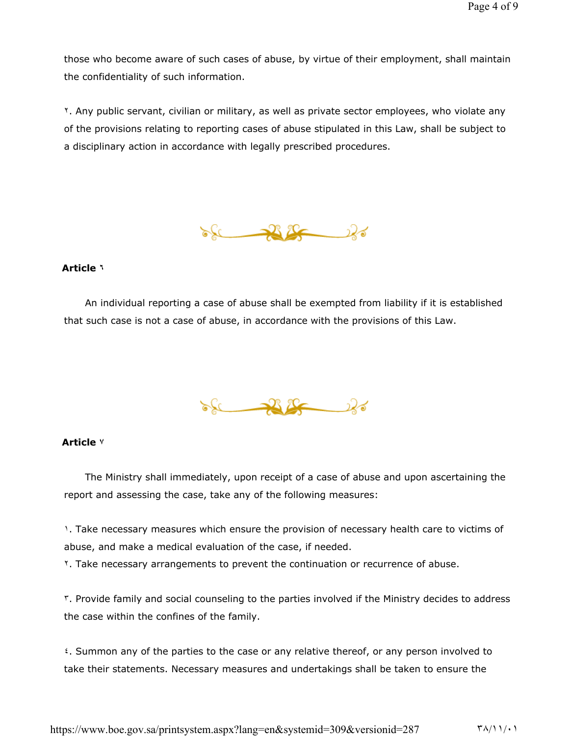those who become aware of such cases of abuse, by virtue of their employment, shall maintain the confidentiality of such information.

٢. Any public servant, civilian or military, as well as private sector employees, who violate any of the provisions relating to reporting cases of abuse stipulated in this Law, shall be subject to a disciplinary action in accordance with legally prescribed procedures.



#### Article ٦

An individual reporting a case of abuse shall be exempted from liability if it is established that such case is not a case of abuse, in accordance with the provisions of this Law.



## Article ٧

The Ministry shall immediately, upon receipt of a case of abuse and upon ascertaining the report and assessing the case, take any of the following measures:

1. Take necessary measures which ensure the provision of necessary health care to victims of abuse, and make a medical evaluation of the case, if needed.

٢. Take necessary arrangements to prevent the continuation or recurrence of abuse.

٣. Provide family and social counseling to the parties involved if the Ministry decides to address the case within the confines of the family.

٤. Summon any of the parties to the case or any relative thereof, or any person involved to take their statements. Necessary measures and undertakings shall be taken to ensure the

https://www.boe.gov.sa/printsystem.aspx?lang=en&systemid=309&versionid=287 ٣٨/١١/٠١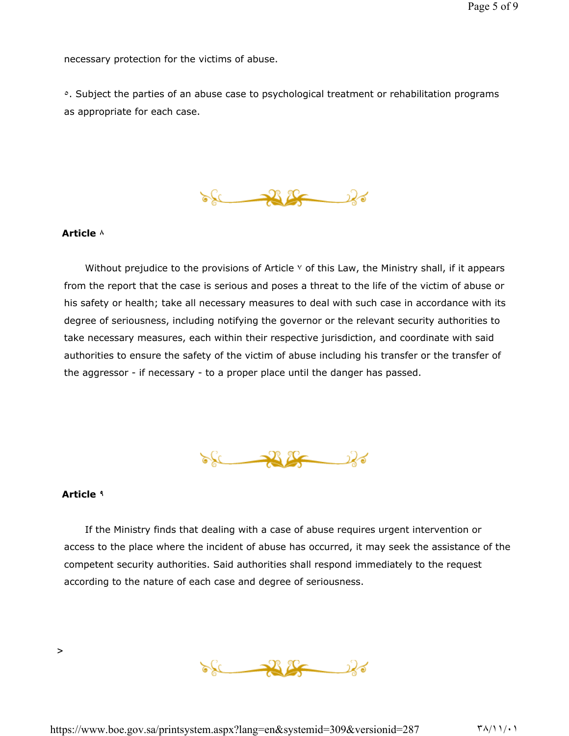necessary protection for the victims of abuse.

<sup>o</sup>. Subject the parties of an abuse case to psychological treatment or rehabilitation programs as appropriate for each case.

 $86 - 26$ 

## Article ٨

Without prejudice to the provisions of Article  $\vee$  of this Law, the Ministry shall, if it appears from the report that the case is serious and poses a threat to the life of the victim of abuse or his safety or health; take all necessary measures to deal with such case in accordance with its degree of seriousness, including notifying the governor or the relevant security authorities to take necessary measures, each within their respective jurisdiction, and coordinate with said authorities to ensure the safety of the victim of abuse including his transfer or the transfer of the aggressor - if necessary - to a proper place until the danger has passed.



#### Article ٩

>

If the Ministry finds that dealing with a case of abuse requires urgent intervention or access to the place where the incident of abuse has occurred, it may seek the assistance of the competent security authorities. Said authorities shall respond immediately to the request according to the nature of each case and degree of seriousness.

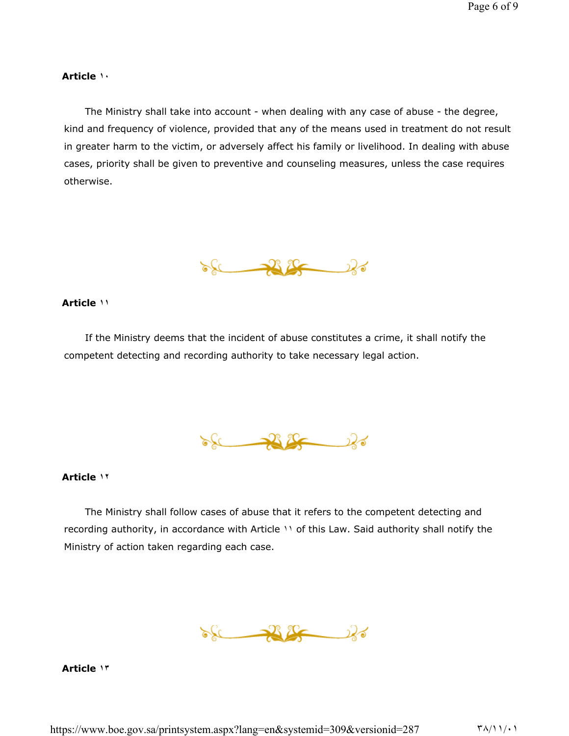#### Article ١٠

The Ministry shall take into account - when dealing with any case of abuse - the degree, kind and frequency of violence, provided that any of the means used in treatment do not result in greater harm to the victim, or adversely affect his family or livelihood. In dealing with abuse cases, priority shall be given to preventive and counseling measures, unless the case requires otherwise.

 $86 - 26$ 

#### Article ١١

If the Ministry deems that the incident of abuse constitutes a crime, it shall notify the competent detecting and recording authority to take necessary legal action.

 $86 - 26$ 

#### Article ١٢

The Ministry shall follow cases of abuse that it refers to the competent detecting and recording authority, in accordance with Article ١١ of this Law. Said authority shall notify the Ministry of action taken regarding each case.

 $\frac{1}{2}$ 

Article ١٣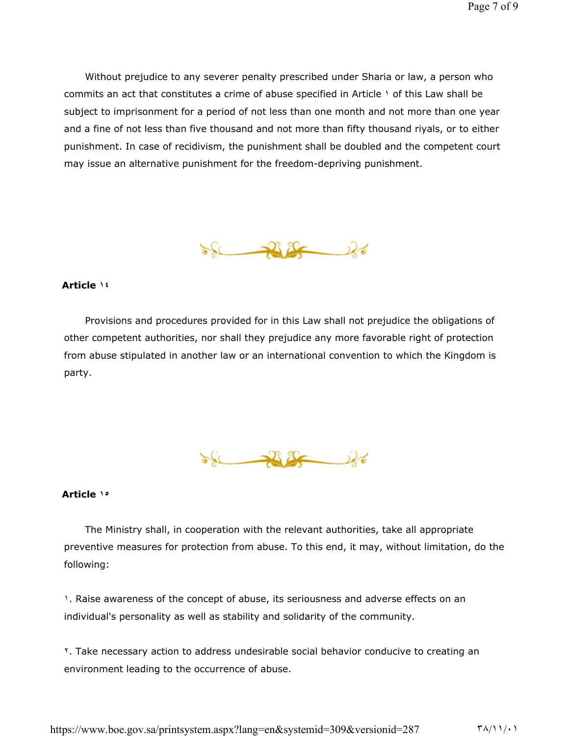Without prejudice to any severer penalty prescribed under Sharia or law, a person who commits an act that constitutes a crime of abuse specified in Article \ of this Law shall be subject to imprisonment for a period of not less than one month and not more than one year and a fine of not less than five thousand and not more than fifty thousand riyals, or to either punishment. In case of recidivism, the punishment shall be doubled and the competent court may issue an alternative punishment for the freedom-depriving punishment.



#### Article ١٤

Provisions and procedures provided for in this Law shall not prejudice the obligations of other competent authorities, nor shall they prejudice any more favorable right of protection from abuse stipulated in another law or an international convention to which the Kingdom is party.



## Article ١٥

The Ministry shall, in cooperation with the relevant authorities, take all appropriate preventive measures for protection from abuse. To this end, it may, without limitation, do the following:

1. Raise awareness of the concept of abuse, its seriousness and adverse effects on an individual's personality as well as stability and solidarity of the community.

٢. Take necessary action to address undesirable social behavior conducive to creating an environment leading to the occurrence of abuse.

https://www.boe.gov.sa/printsystem.aspx?lang=en&systemid=309&versionid=287 ٣٨/١١/٠١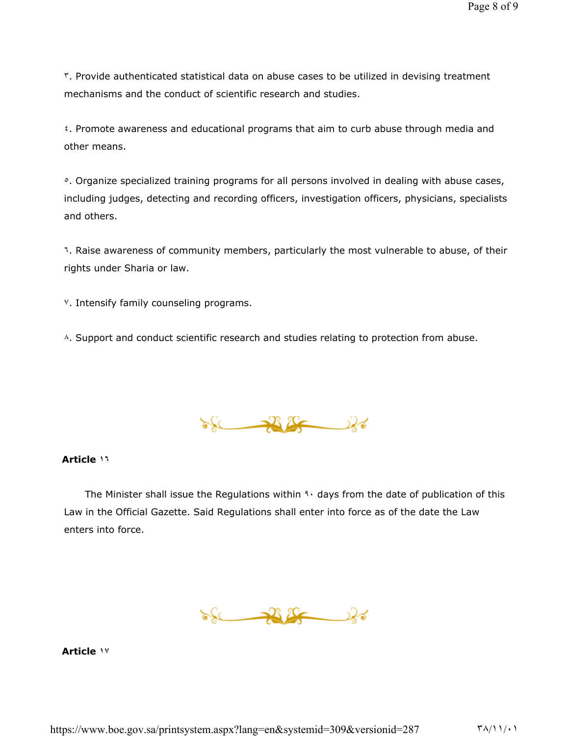٣. Provide authenticated statistical data on abuse cases to be utilized in devising treatment mechanisms and the conduct of scientific research and studies.

٤. Promote awareness and educational programs that aim to curb abuse through media and other means.

<sup>o</sup>. Organize specialized training programs for all persons involved in dealing with abuse cases, including judges, detecting and recording officers, investigation officers, physicians, specialists and others.

٦. Raise awareness of community members, particularly the most vulnerable to abuse, of their rights under Sharia or law.

٧. Intensify family counseling programs.

A. Support and conduct scientific research and studies relating to protection from abuse.

 $86 - 28$ 

## Article ١٦

The Minister shall issue the Regulations within  $3 \cdot$  days from the date of publication of this Law in the Official Gazette. Said Regulations shall enter into force as of the date the Law enters into force.

 $86 - 26$ 

Article ١٧